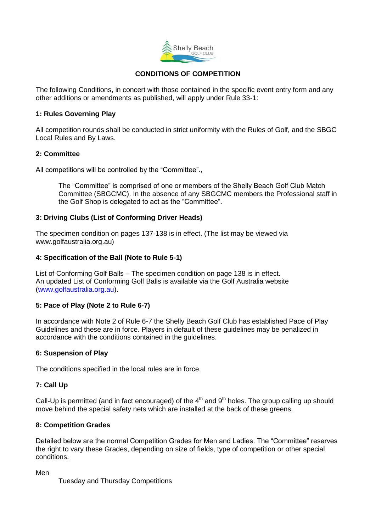

# **CONDITIONS OF COMPETITION**

The following Conditions, in concert with those contained in the specific event entry form and any other additions or amendments as published, will apply under Rule 33-1:

### **1: Rules Governing Play**

All competition rounds shall be conducted in strict uniformity with the Rules of Golf, and the SBGC Local Rules and By Laws.

### **2: Committee**

All competitions will be controlled by the "Committee".,

The "Committee" is comprised of one or members of the Shelly Beach Golf Club Match Committee (SBGCMC). In the absence of any SBGCMC members the Professional staff in the Golf Shop is delegated to act as the "Committee".

# **3: Driving Clubs (List of Conforming Driver Heads)**

The specimen condition on pages 137-138 is in effect. (The list may be viewed via www.golfaustralia.org.au)

### **4: Specification of the Ball (Note to Rule 5-1)**

List of Conforming Golf Balls – The specimen condition on page 138 is in effect. An updated List of Conforming Golf Balls is available via the Golf Australia website [\(www.golfaustralia.org.au\)](http://www.golfaustralia.org.au/).

# **5: Pace of Play (Note 2 to Rule 6-7)**

In accordance with Note 2 of Rule 6-7 the Shelly Beach Golf Club has established Pace of Play Guidelines and these are in force. Players in default of these guidelines may be penalized in accordance with the conditions contained in the guidelines.

### **6: Suspension of Play**

The conditions specified in the local rules are in force.

#### **7: Call Up**

Call-Up is permitted (and in fact encouraged) of the  $4<sup>th</sup>$  and  $9<sup>th</sup>$  holes. The group calling up should move behind the special safety nets which are installed at the back of these greens.

#### **8: Competition Grades**

Detailed below are the normal Competition Grades for Men and Ladies. The "Committee" reserves the right to vary these Grades, depending on size of fields, type of competition or other special conditions.

Men

Tuesday and Thursday Competitions